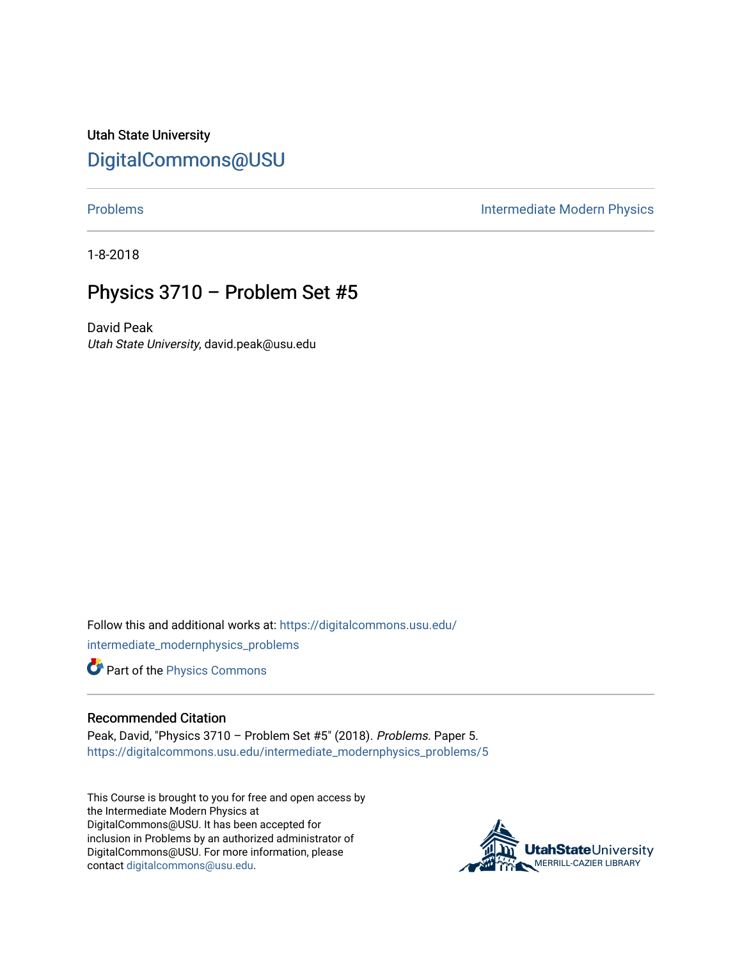Utah State University [DigitalCommons@USU](https://digitalcommons.usu.edu/)

[Problems](https://digitalcommons.usu.edu/intermediate_modernphysics_problems) **Intermediate Modern Physics** 

1-8-2018

## Physics 3710 – Problem Set #5

David Peak Utah State University, david.peak@usu.edu

Follow this and additional works at: [https://digitalcommons.usu.edu/](https://digitalcommons.usu.edu/intermediate_modernphysics_problems?utm_source=digitalcommons.usu.edu%2Fintermediate_modernphysics_problems%2F5&utm_medium=PDF&utm_campaign=PDFCoverPages) [intermediate\\_modernphysics\\_problems](https://digitalcommons.usu.edu/intermediate_modernphysics_problems?utm_source=digitalcommons.usu.edu%2Fintermediate_modernphysics_problems%2F5&utm_medium=PDF&utm_campaign=PDFCoverPages)

Part of the [Physics Commons](http://network.bepress.com/hgg/discipline/193?utm_source=digitalcommons.usu.edu%2Fintermediate_modernphysics_problems%2F5&utm_medium=PDF&utm_campaign=PDFCoverPages)

## Recommended Citation

Peak, David, "Physics 3710 – Problem Set #5" (2018). Problems. Paper 5. [https://digitalcommons.usu.edu/intermediate\\_modernphysics\\_problems/5](https://digitalcommons.usu.edu/intermediate_modernphysics_problems/5?utm_source=digitalcommons.usu.edu%2Fintermediate_modernphysics_problems%2F5&utm_medium=PDF&utm_campaign=PDFCoverPages)

This Course is brought to you for free and open access by the Intermediate Modern Physics at DigitalCommons@USU. It has been accepted for inclusion in Problems by an authorized administrator of DigitalCommons@USU. For more information, please contact [digitalcommons@usu.edu](mailto:digitalcommons@usu.edu).